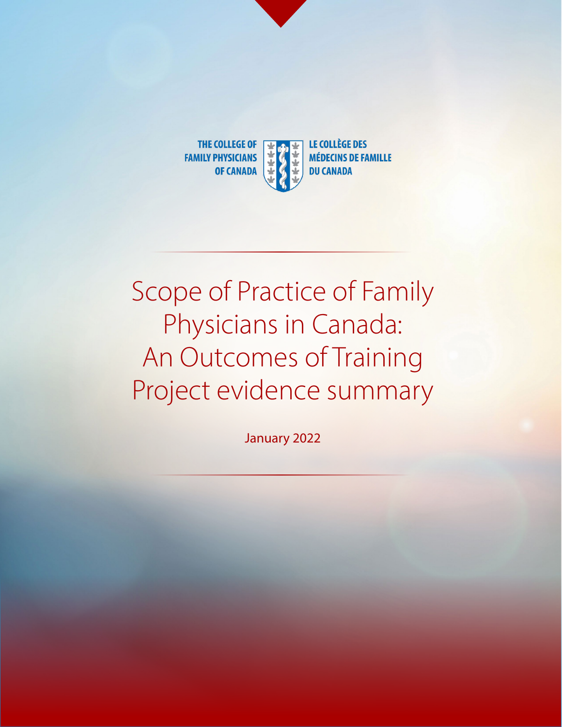

# Scope of Practice of Family Physicians in Canada: An Outcomes of Training Project evidence summary

January 2022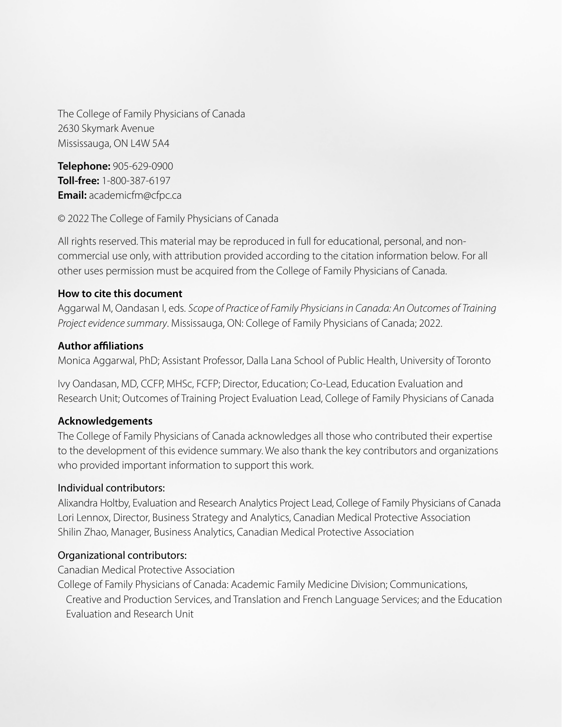The College of Family Physicians of Canada 2630 Skymark Avenue Mississauga, ON L4W 5A4

**Telephone:** 905-629-0900 **Toll-free:** 1-800-387-6197 **Email:** academicfm@cfpc.ca

© 2022 The College of Family Physicians of Canada

All rights reserved. This material may be reproduced in full for educational, personal, and noncommercial use only, with attribution provided according to the citation information below. For all other uses permission must be acquired from the College of Family Physicians of Canada.

#### **How to cite this document**

Aggarwal M, Oandasan I, eds. *Scope of Practice of Family Physicians in Canada: An Outcomes of Training Project evidence summary*. Mississauga, ON: College of Family Physicians of Canada; 2022.

#### **Author affiliations**

Monica Aggarwal, PhD; Assistant Professor, Dalla Lana School of Public Health, University of Toronto

Ivy Oandasan, MD, CCFP, MHSc, FCFP; Director, Education; Co-Lead, Education Evaluation and Research Unit; Outcomes of Training Project Evaluation Lead, College of Family Physicians of Canada

#### **Acknowledgements**

The College of Family Physicians of Canada acknowledges all those who contributed their expertise to the development of this evidence summary. We also thank the key contributors and organizations who provided important information to support this work.

#### Individual contributors:

Alixandra Holtby, Evaluation and Research Analytics Project Lead, College of Family Physicians of Canada Lori Lennox, Director, Business Strategy and Analytics, Canadian Medical Protective Association Shilin Zhao, Manager, Business Analytics, Canadian Medical Protective Association

#### Organizational contributors:

Canadian Medical Protective Association

College of Family Physicians of Canada: Academic Family Medicine Division; Communications, Creative and Production Services, and Translation and French Language Services; and the Education Evaluation and Research Unit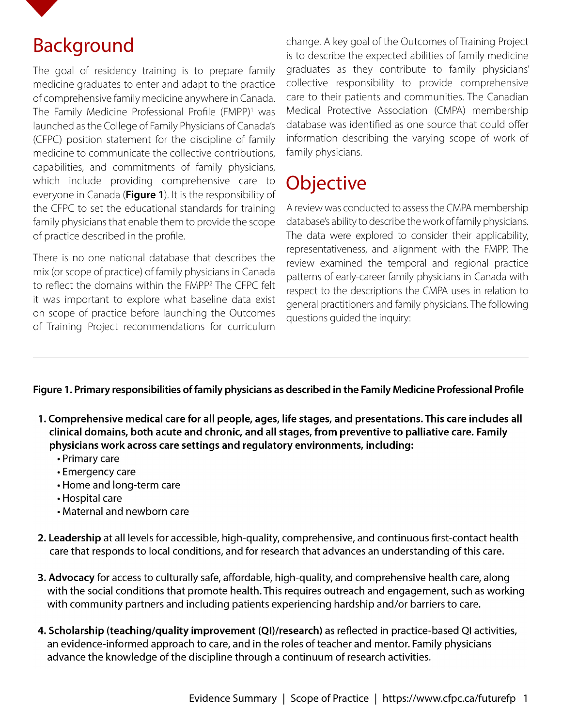<span id="page-2-0"></span>

### Background

The goal of residency training is to prepare family medicine graduates to enter and adapt to the practice of comprehensive family medicine anywhere in Canada. The Family Medicine Professional Profile (FMPP)<sup>1</sup> was launched as the College of Family Physicians of Canada's (CFPC) position statement for the discipline of family medicine to communicate the collective contributions, capabilities, and commitments of family physicians, which include providing comprehensive care to everyone in Canada (**Figure 1**). It is the responsibility of the CFPC to set the educational standards for training family physicians that enable them to provide the scope of practice described in the profile.

There is no one national database that describes the mix (or scope of practice) of family physicians in Canada to reflect the domains within the FMPP<sup>2</sup> The CFPC felt it was important to explore what baseline data exist on scope of practice before launching the Outcomes of Training Project recommendations for curriculum

change. A key goal of the Outcomes of Training Project is to describe the expected abilities of family medicine graduates as they contribute to family physicians' collective responsibility to provide comprehensive care to their patients and communities. The Canadian Medical Protective Association (CMPA) membership database was identified as one source that could offer information describing the varying scope of work of family physicians.

### **Objective**

A review was conducted to assess the CMPA membership database's ability to describe the work of family physicians. The data were explored to consider their applicability, representativeness, and alignment with the FMPP. The review examined the temporal and regional practice patterns of early-career family physicians in Canada with respect to the descriptions the CMPA uses in relation to general practitioners and family physicians. The following questions guided the inquiry:

#### **Figure 1. Primary responsibilities of family physicians as described in the Family Medicine Professional Profile**

- 1. Comprehensive medical care for all people, ages, life stages, and presentations. This care includes all clinical domains, both acute and chronic, and all stages, from preventive to palliative care. Family physicians work across care settings and regulatory environments, including:
	- Primary care
	- Emergency care
	- Home and long-term care
	- Hospital care
	- Maternal and newborn care
- 2. Leadership at all levels for accessible, high-quality, comprehensive, and continuous first-contact health care that responds to local conditions, and for research that advances an understanding of this care.
- 3. Advocacy for access to culturally safe, affordable, high-quality, and comprehensive health care, along with the social conditions that promote health. This requires outreach and engagement, such as working with community partners and including patients experiencing hardship and/or barriers to care.
- 4. Scholarship (teaching/quality improvement (QI)/research) as reflected in practice-based QI activities, an evidence-informed approach to care, and in the roles of teacher and mentor. Family physicians advance the knowledge of the discipline through a continuum of research activities.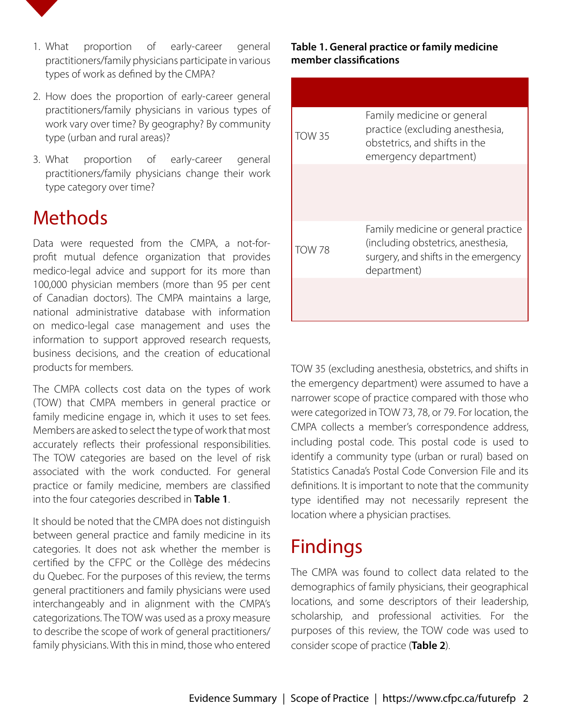

- 1. What proportion of early-career general practitioners/family physicians participate in various types of work as defined by the CMPA?
- 2. How does the proportion of early-career general practitioners/family physicians in various types of work vary over time? By geography? By community type (urban and rural areas)?
- 3. What proportion of early-career general practitioners/family physicians change their work type category over time?

### Methods

Data were requested from the CMPA, a not-forprofit mutual defence organization that provides medico-legal advice and support for its more than 100,000 physician members (more than 95 per cent of Canadian doctors). The CMPA maintains a large, national administrative database with information on medico-legal case management and uses the information to support approved research requests, business decisions, and the creation of educational products for members.

The CMPA collects cost data on the types of work (TOW) that CMPA members in general practice or family medicine engage in, which it uses to set fees. Members are asked to select the type of work that most accurately reflects their professional responsibilities. The TOW categories are based on the level of risk associated with the work conducted. For general practice or family medicine, members are classified into the four categories described in **Table 1**.

It should be noted that the CMPA does not distinguish between general practice and family medicine in its categories. It does not ask whether the member is certified by the CFPC or the Collège des médecins du Quebec. For the purposes of this review, the terms general practitioners and family physicians were used interchangeably and in alignment with the CMPA's categorizations. The TOW was used as a proxy measure to describe the scope of work of general practitioners/ family physicians. With this in mind, those who entered

#### **Table 1. General practice or family medicine member classifications**

| <b>TOW 35</b> | Family medicine or general<br>practice (excluding anesthesia,<br>obstetrics, and shifts in the<br>emergency department)          |
|---------------|----------------------------------------------------------------------------------------------------------------------------------|
|               |                                                                                                                                  |
| <b>TOW 78</b> | Family medicine or general practice<br>(including obstetrics, anesthesia,<br>surgery, and shifts in the emergency<br>department) |
|               |                                                                                                                                  |

TOW 35 (excluding anesthesia, obstetrics, and shifts in the emergency department) were assumed to have a narrower scope of practice compared with those who were categorized in TOW 73, 78, or 79. For location, the CMPA collects a member's correspondence address, including postal code. This postal code is used to identify a community type (urban or rural) based on Statistics Canada's Postal Code Conversion File and its definitions. It is important to note that the community type identified may not necessarily represent the location where a physician practises.

## Findings

The CMPA was found to collect data related to the demographics of family physicians, their geographical locations, and some descriptors of their leadership, scholarship, and professional activities. For the purposes of this review, the TOW code was used to consider scope of practice (**Table 2**).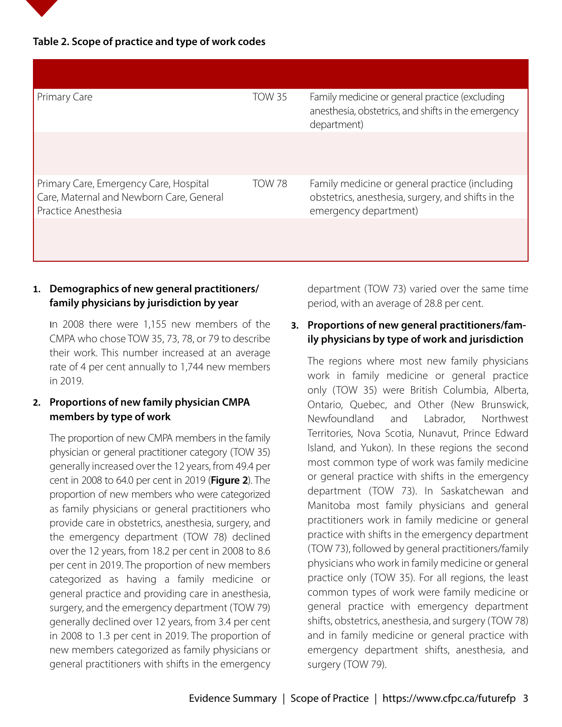#### **Table 2. Scope of practice and type of work codes**

| Primary Care                                                                                              | <b>TOW 35</b> | Family medicine or general practice (excluding<br>anesthesia, obstetrics, and shifts in the emergency<br>department)          |
|-----------------------------------------------------------------------------------------------------------|---------------|-------------------------------------------------------------------------------------------------------------------------------|
|                                                                                                           |               |                                                                                                                               |
| Primary Care, Emergency Care, Hospital<br>Care, Maternal and Newborn Care, General<br>Practice Anesthesia | <b>TOW 78</b> | Family medicine or general practice (including<br>obstetrics, anesthesia, surgery, and shifts in the<br>emergency department) |
|                                                                                                           |               |                                                                                                                               |

#### **1. Demographics of new general practitioners/ family physicians by jurisdiction by year**

In 2008 there were 1,155 new members of the CMPA who chose TOW 35, 73, 78, or 79 to describe their work. This number increased at an average rate of 4 per cent annually to 1,744 new members in 2019.

#### **2. Proportions of new family physician CMPA members by type of work**

The proportion of new CMPA members in the family physician or general practitioner category (TOW 35) generally increased over the 12 years, from 49.4 per cent in 2008 to 64.0 per cent in 2019 (**Figure 2**). The proportion of new members who were categorized as family physicians or general practitioners who provide care in obstetrics, anesthesia, surgery, and the emergency department (TOW 78) declined over the 12 years, from 18.2 per cent in 2008 to 8.6 per cent in 2019. The proportion of new members categorized as having a family medicine or general practice and providing care in anesthesia, surgery, and the emergency department (TOW 79) generally declined over 12 years, from 3.4 per cent in 2008 to 1.3 per cent in 2019. The proportion of new members categorized as family physicians or general practitioners with shifts in the emergency department (TOW 73) varied over the same time period, with an average of 28.8 per cent.

#### **3. Proportions of new general practitioners/family physicians by type of work and jurisdiction**

The regions where most new family physicians work in family medicine or general practice only (TOW 35) were British Columbia, Alberta, Ontario, Quebec, and Other (New Brunswick, Newfoundland and Labrador, Northwest Territories, Nova Scotia, Nunavut, Prince Edward Island, and Yukon). In these regions the second most common type of work was family medicine or general practice with shifts in the emergency department (TOW 73). In Saskatchewan and Manitoba most family physicians and general practitioners work in family medicine or general practice with shifts in the emergency department (TOW 73), followed by general practitioners/family physicians who work in family medicine or general practice only (TOW 35). For all regions, the least common types of work were family medicine or general practice with emergency department shifts, obstetrics, anesthesia, and surgery (TOW 78) and in family medicine or general practice with emergency department shifts, anesthesia, and surgery (TOW 79).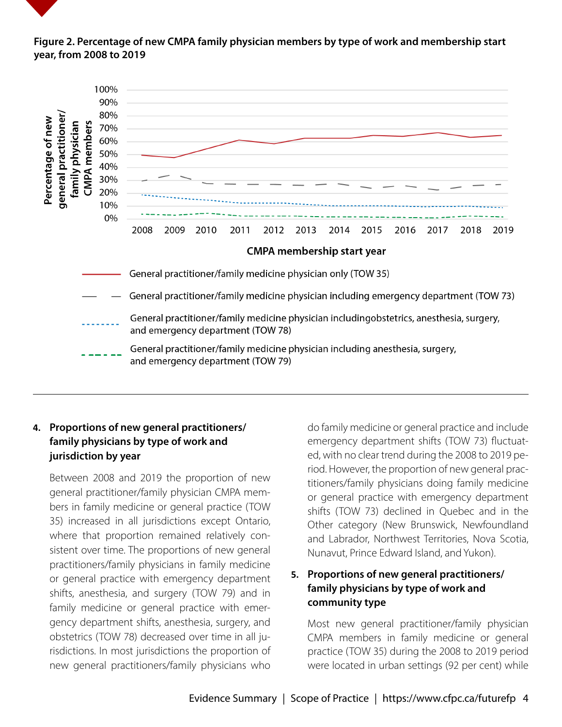#### **Figure 2. Percentage of new CMPA family physician members by type of work and membership start year, from 2008 to 2019**



### **4. Proportions of new general practitioners/ family physicians by type of work and jurisdiction by year**

Between 2008 and 2019 the proportion of new general practitioner/family physician CMPA members in family medicine or general practice (TOW 35) increased in all jurisdictions except Ontario, where that proportion remained relatively consistent over time. The proportions of new general practitioners/family physicians in family medicine or general practice with emergency department shifts, anesthesia, and surgery (TOW 79) and in family medicine or general practice with emergency department shifts, anesthesia, surgery, and obstetrics (TOW 78) decreased over time in all jurisdictions. In most jurisdictions the proportion of new general practitioners/family physicians who

do family medicine or general practice and include emergency department shifts (TOW 73) fluctuated, with no clear trend during the 2008 to 2019 period. However, the proportion of new general practitioners/family physicians doing family medicine or general practice with emergency department shifts (TOW 73) declined in Quebec and in the Other category (New Brunswick, Newfoundland and Labrador, Northwest Territories, Nova Scotia, Nunavut, Prince Edward Island, and Yukon).

#### **5. Proportions of new general practitioners/ family physicians by type of work and community type**

Most new general practitioner/family physician CMPA members in family medicine or general practice (TOW 35) during the 2008 to 2019 period were located in urban settings (92 per cent) while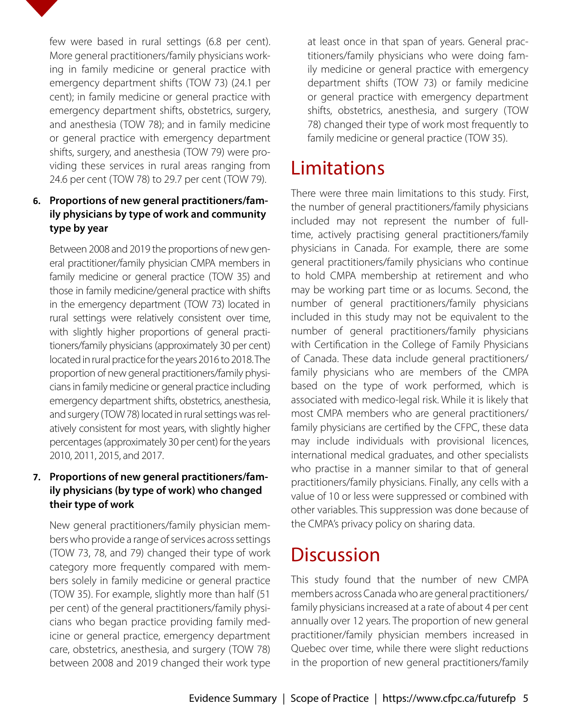

#### **6. Proportions of new general practitioners/family physicians by type of work and community type by year**

Between 2008 and 2019 the proportions of new general practitioner/family physician CMPA members in family medicine or general practice (TOW 35) and those in family medicine/general practice with shifts in the emergency department (TOW 73) located in rural settings were relatively consistent over time, with slightly higher proportions of general practitioners/family physicians (approximately 30 per cent) located in rural practice for the years 2016 to 2018. The proportion of new general practitioners/family physicians in family medicine or general practice including emergency department shifts, obstetrics, anesthesia, and surgery (TOW 78) located in rural settings was relatively consistent for most years, with slightly higher percentages (approximately 30 per cent) for the years 2010, 2011, 2015, and 2017.

#### **7. Proportions of new general practitioners/family physicians (by type of work) who changed their type of work**

New general practitioners/family physician members who provide a range of services across settings (TOW 73, 78, and 79) changed their type of work category more frequently compared with members solely in family medicine or general practice (TOW 35). For example, slightly more than half (51 per cent) of the general practitioners/family physicians who began practice providing family medicine or general practice, emergency department care, obstetrics, anesthesia, and surgery (TOW 78) between 2008 and 2019 changed their work type

at least once in that span of years. General practitioners/family physicians who were doing family medicine or general practice with emergency department shifts (TOW 73) or family medicine or general practice with emergency department shifts, obstetrics, anesthesia, and surgery (TOW 78) changed their type of work most frequently to family medicine or general practice (TOW 35).

### Limitations

There were three main limitations to this study. First, the number of general practitioners/family physicians included may not represent the number of fulltime, actively practising general practitioners/family physicians in Canada. For example, there are some general practitioners/family physicians who continue to hold CMPA membership at retirement and who may be working part time or as locums. Second, the number of general practitioners/family physicians included in this study may not be equivalent to the number of general practitioners/family physicians with Certification in the College of Family Physicians of Canada. These data include general practitioners/ family physicians who are members of the CMPA based on the type of work performed, which is associated with medico-legal risk. While it is likely that most CMPA members who are general practitioners/ family physicians are certified by the CFPC, these data may include individuals with provisional licences, international medical graduates, and other specialists who practise in a manner similar to that of general practitioners/family physicians. Finally, any cells with a value of 10 or less were suppressed or combined with other variables. This suppression was done because of the CMPA's privacy policy on sharing data.

### **Discussion**

This study found that the number of new CMPA members across Canada who are general practitioners/ family physicians increased at a rate of about 4 per cent annually over 12 years. The proportion of new general practitioner/family physician members increased in Quebec over time, while there were slight reductions in the proportion of new general practitioners/family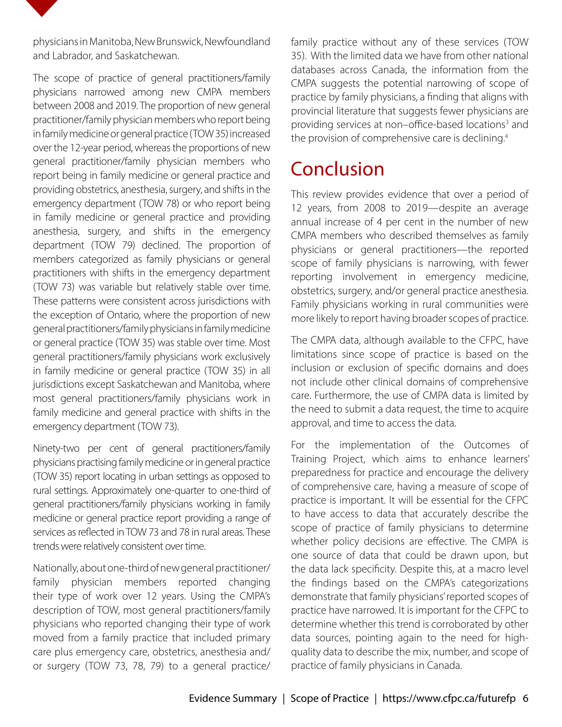<span id="page-7-0"></span>

physicians in Manitoba, New Brunswick, Newfoundland and Labrador, and Saskatchewan.

The scope of practice of general practitioners/family physicians narrowed among new CMPA members between 2008 and 2019. The proportion of new general practitioner/family physician members who report being in family medicine or general practice (TOW 35) increased over the 12-year period, whereas the proportions of new general practitioner/family physician members who report being in family medicine or general practice and providing obstetrics, anesthesia, surgery, and shifts in the emergency department (TOW 78) or who report being in family medicine or general practice and providing anesthesia, surgery, and shifts in the emergency department (TOW 79) declined. The proportion of members categorized as family physicians or general practitioners with shifts in the emergency department (TOW 73) was variable but relatively stable over time. These patterns were consistent across jurisdictions with the exception of Ontario, where the proportion of new general practitioners/family physicians in family medicine or general practice (TOW 35) was stable over time. Most general practitioners/family physicians work exclusively in family medicine or general practice (TOW 35) in all jurisdictions except Saskatchewan and Manitoba, where most general practitioners/family physicians work in family medicine and general practice with shifts in the emergency department (TOW 73).

Ninety-two per cent of general practitioners/family physicians practising family medicine or in general practice (TOW 35) report locating in urban settings as opposed to rural settings. Approximately one-quarter to one-third of general practitioners/family physicians working in family medicine or general practice report providing a range of services as reflected in TOW 73 and 78 in rural areas. These trends were relatively consistent over time.

Nationally, about one-third of new general practitioner/ family physician members reported changing their type of work over 12 years. Using the CMPA's description of TOW, most general practitioners/family physicians who reported changing their type of work moved from a family practice that included primary care plus emergency care, obstetrics, anesthesia and/ or surgery (TOW 73, 78, 79) to a general practice/ family practice without any of these services (TOW 35). With the limited data we have from other national databases across Canada, the information from the CMPA suggests the potential narrowing of scope of practice by family physicians, a finding that aligns with provincial literature that suggests fewer physicians are providing services at non-office-based locations<sup>3</sup> and the provision of comprehensive care is declining.<sup>4</sup>

### Conclusion

This review provides evidence that over a period of 12 years, from 2008 to 2019—despite an average annual increase of 4 per cent in the number of new CMPA members who described themselves as family physicians or general practitioners—the reported scope of family physicians is narrowing, with fewer reporting involvement in emergency medicine, obstetrics, surgery, and/or general practice anesthesia. Family physicians working in rural communities were more likely to report having broader scopes of practice.

The CMPA data, although available to the CFPC, have limitations since scope of practice is based on the inclusion or exclusion of specific domains and does not include other clinical domains of comprehensive care. Furthermore, the use of CMPA data is limited by the need to submit a data request, the time to acquire approval, and time to access the data.

For the implementation of the Outcomes of Training Project, which aims to enhance learners' preparedness for practice and encourage the delivery of comprehensive care, having a measure of scope of practice is important. It will be essential for the CFPC to have access to data that accurately describe the scope of practice of family physicians to determine whether policy decisions are effective. The CMPA is one source of data that could be drawn upon, but the data lack specificity. Despite this, at a macro level the findings based on the CMPA's categorizations demonstrate that family physicians' reported scopes of practice have narrowed. It is important for the CFPC to determine whether this trend is corroborated by other data sources, pointing again to the need for highquality data to describe the mix, number, and scope of practice of family physicians in Canada.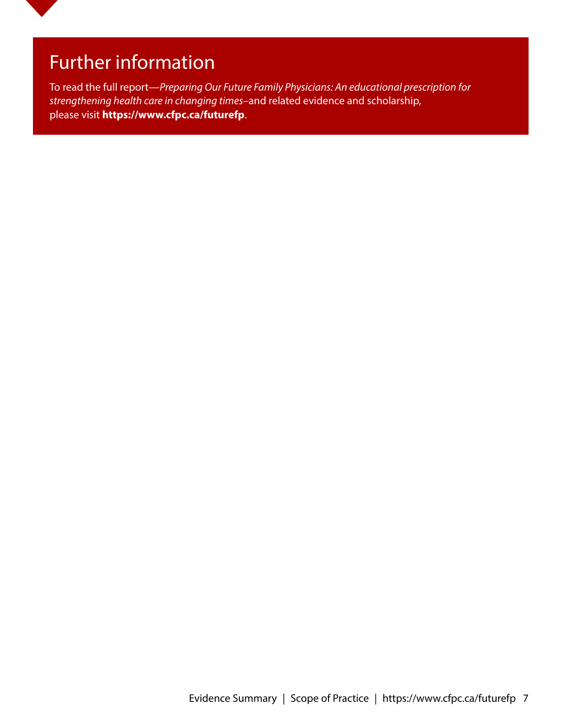### Further information

To read the full report—*Preparing Our Future Family Physicians: An educational prescription for strengthening health care in changing times*–and related evidence and scholarship, please visit **https://www.cfpc.ca/futurefp**.